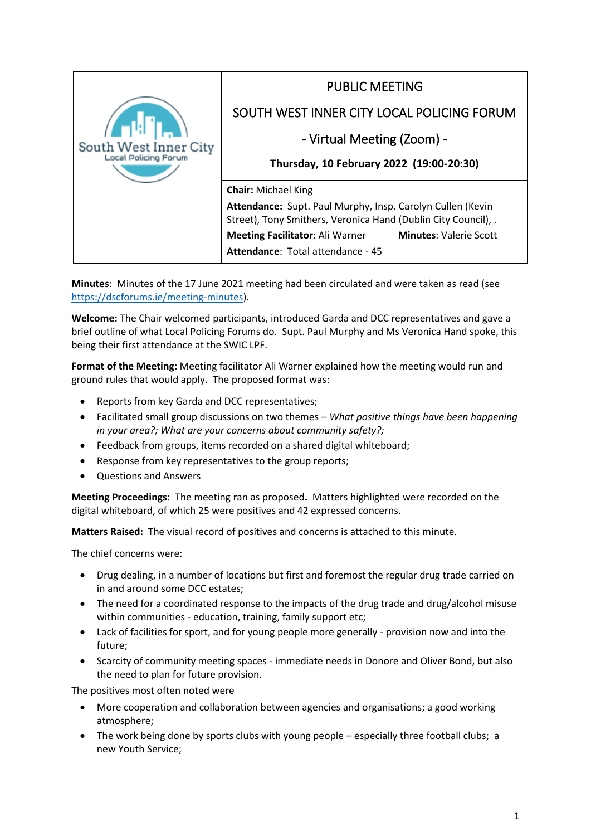| South West Inner City | <b>PUBLIC MEETING</b>                                                                                                        |  |
|-----------------------|------------------------------------------------------------------------------------------------------------------------------|--|
|                       | SOUTH WEST INNER CITY LOCAL POLICING FORUM                                                                                   |  |
|                       | - Virtual Meeting (Zoom) -                                                                                                   |  |
|                       | Thursday, 10 February 2022 (19:00-20:30)                                                                                     |  |
|                       | <b>Chair: Michael King</b>                                                                                                   |  |
|                       | Attendance: Supt. Paul Murphy, Insp. Carolyn Cullen (Kevin<br>Street), Tony Smithers, Veronica Hand (Dublin City Council), . |  |
|                       | <b>Meeting Facilitator: Ali Warner</b><br><b>Minutes: Valerie Scott</b>                                                      |  |
|                       | Attendance: Total attendance - 45                                                                                            |  |
|                       |                                                                                                                              |  |

**Minutes**: Minutes of the 17 June 2021 meeting had been circulated and were taken as read (see [https://dscforums.ie/meeting-minutes\)](https://dscforums.ie/meeting-minutes/).

**Welcome:** The Chair welcomed participants, introduced Garda and DCC representatives and gave a brief outline of what Local Policing Forums do. Supt. Paul Murphy and Ms Veronica Hand spoke, this being their first attendance at the SWIC LPF.

**Format of the Meeting:** Meeting facilitator Ali Warner explained how the meeting would run and ground rules that would apply. The proposed format was:

- Reports from key Garda and DCC representatives;
- Facilitated small group discussions on two themes *What positive things have been happening in your area?; What are your concerns about community safety?;*
- Feedback from groups, items recorded on a shared digital whiteboard;
- Response from key representatives to the group reports;
- Questions and Answers

**Meeting Proceedings:** The meeting ran as proposed**.** Matters highlighted were recorded on the digital whiteboard, of which 25 were positives and 42 expressed concerns.

**Matters Raised:** The visual record of positives and concerns is attached to this minute.

The chief concerns were:

- Drug dealing, in a number of locations but first and foremost the regular drug trade carried on in and around some DCC estates;
- The need for a coordinated response to the impacts of the drug trade and drug/alcohol misuse within communities - education, training, family support etc;
- Lack of facilities for sport, and for young people more generally provision now and into the future;
- Scarcity of community meeting spaces immediate needs in Donore and Oliver Bond, but also the need to plan for future provision.

The positives most often noted were

- More cooperation and collaboration between agencies and organisations; a good working atmosphere;
- The work being done by sports clubs with young people especially three football clubs; a new Youth Service;